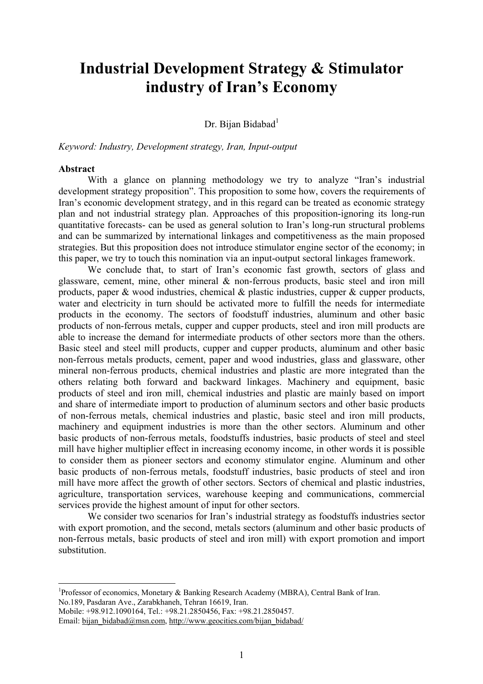# **Industrial Development Strategy & Stimulator industry of Iran's Economy**

## Dr. Bijan Bidabad $<sup>1</sup>$ </sup>

*Keyword: Industry, Development strategy, Iran, Input-output* 

#### **Abstract**

 $\overline{a}$ 

 With a glance on planning methodology we try to analyze "Iran's industrial development strategy proposition". This proposition to some how, covers the requirements of Iran's economic development strategy, and in this regard can be treated as economic strategy plan and not industrial strategy plan. Approaches of this proposition-ignoring its long-run quantitative forecasts- can be used as general solution to Iran's long-run structural problems and can be summarized by international linkages and competitiveness as the main proposed strategies. But this proposition does not introduce stimulator engine sector of the economy; in this paper, we try to touch this nomination via an input-output sectoral linkages framework.

We conclude that, to start of Iran's economic fast growth, sectors of glass and glassware, cement, mine, other mineral & non-ferrous products, basic steel and iron mill products, paper  $\&$  wood industries, chemical  $\&$  plastic industries, cupper  $\&$  cupper products, water and electricity in turn should be activated more to fulfill the needs for intermediate products in the economy. The sectors of foodstuff industries, aluminum and other basic products of non-ferrous metals, cupper and cupper products, steel and iron mill products are able to increase the demand for intermediate products of other sectors more than the others. Basic steel and steel mill products, cupper and cupper products, aluminum and other basic non-ferrous metals products, cement, paper and wood industries, glass and glassware, other mineral non-ferrous products, chemical industries and plastic are more integrated than the others relating both forward and backward linkages. Machinery and equipment, basic products of steel and iron mill, chemical industries and plastic are mainly based on import and share of intermediate import to production of aluminum sectors and other basic products of non-ferrous metals, chemical industries and plastic, basic steel and iron mill products, machinery and equipment industries is more than the other sectors. Aluminum and other basic products of non-ferrous metals, foodstuffs industries, basic products of steel and steel mill have higher multiplier effect in increasing economy income, in other words it is possible to consider them as pioneer sectors and economy stimulator engine. Aluminum and other basic products of non-ferrous metals, foodstuff industries, basic products of steel and iron mill have more affect the growth of other sectors. Sectors of chemical and plastic industries, agriculture, transportation services, warehouse keeping and communications, commercial services provide the highest amount of input for other sectors.

We consider two scenarios for Iran's industrial strategy as foodstuffs industries sector with export promotion, and the second, metals sectors (aluminum and other basic products of non-ferrous metals, basic products of steel and iron mill) with export promotion and import substitution.

Mobile: +98.912.1090164, Tel.: +98.21.2850456, Fax: +98.21.2850457.

<sup>&</sup>lt;sup>1</sup>Professor of economics, Monetary & Banking Research Academy (MBRA), Central Bank of Iran. No.189, Pasdaran Ave., Zarabkhaneh, Tehran 16619, Iran.

Email: bijan\_bidabad@msn.com, http://www.geocities.com/bijan\_bidabad/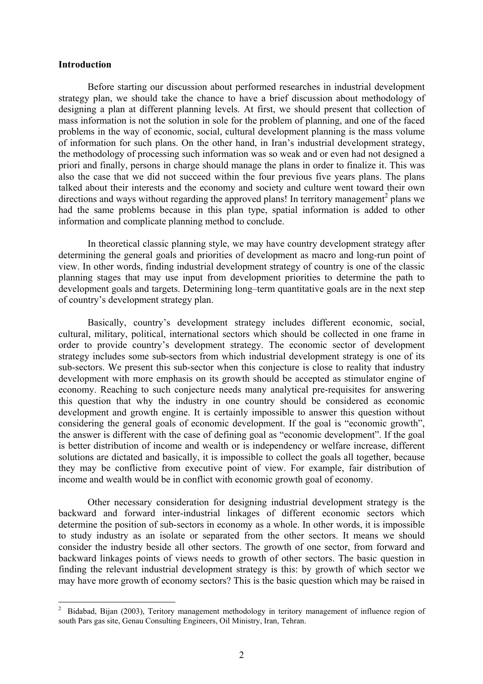#### **Introduction**

 $\overline{a}$ 

Before starting our discussion about performed researches in industrial development strategy plan, we should take the chance to have a brief discussion about methodology of designing a plan at different planning levels. At first, we should present that collection of mass information is not the solution in sole for the problem of planning, and one of the faced problems in the way of economic, social, cultural development planning is the mass volume of information for such plans. On the other hand, in Iran's industrial development strategy, the methodology of processing such information was so weak and or even had not designed a priori and finally, persons in charge should manage the plans in order to finalize it. This was also the case that we did not succeed within the four previous five years plans. The plans talked about their interests and the economy and society and culture went toward their own directions and ways without regarding the approved plans! In territory management<sup>2</sup> plans we had the same problems because in this plan type, spatial information is added to other information and complicate planning method to conclude.

In theoretical classic planning style, we may have country development strategy after determining the general goals and priorities of development as macro and long-run point of view. In other words, finding industrial development strategy of country is one of the classic planning stages that may use input from development priorities to determine the path to development goals and targets. Determining long–term quantitative goals are in the next step of country's development strategy plan.

Basically, country's development strategy includes different economic, social, cultural, military, political, international sectors which should be collected in one frame in order to provide country's development strategy. The economic sector of development strategy includes some sub-sectors from which industrial development strategy is one of its sub-sectors. We present this sub-sector when this conjecture is close to reality that industry development with more emphasis on its growth should be accepted as stimulator engine of economy. Reaching to such conjecture needs many analytical pre-requisites for answering this question that why the industry in one country should be considered as economic development and growth engine. It is certainly impossible to answer this question without considering the general goals of economic development. If the goal is "economic growth", the answer is different with the case of defining goal as "economic development". If the goal is better distribution of income and wealth or is independency or welfare increase, different solutions are dictated and basically, it is impossible to collect the goals all together, because they may be conflictive from executive point of view. For example, fair distribution of income and wealth would be in conflict with economic growth goal of economy.

Other necessary consideration for designing industrial development strategy is the backward and forward inter-industrial linkages of different economic sectors which determine the position of sub-sectors in economy as a whole. In other words, it is impossible to study industry as an isolate or separated from the other sectors. It means we should consider the industry beside all other sectors. The growth of one sector, from forward and backward linkages points of views needs to growth of other sectors. The basic question in finding the relevant industrial development strategy is this: by growth of which sector we may have more growth of economy sectors? This is the basic question which may be raised in

<sup>2</sup> Bidabad, Bijan (2003), Teritory management methodology in teritory management of influence region of south Pars gas site, Genau Consulting Engineers, Oil Ministry, Iran, Tehran.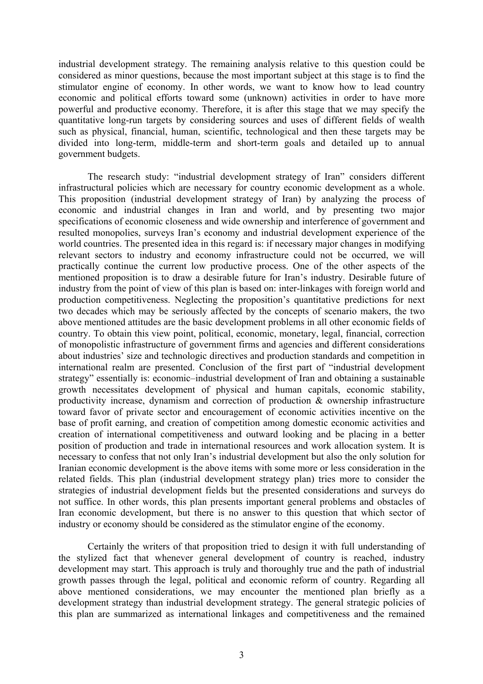industrial development strategy. The remaining analysis relative to this question could be considered as minor questions, because the most important subject at this stage is to find the stimulator engine of economy. In other words, we want to know how to lead country economic and political efforts toward some (unknown) activities in order to have more powerful and productive economy. Therefore, it is after this stage that we may specify the quantitative long-run targets by considering sources and uses of different fields of wealth such as physical, financial, human, scientific, technological and then these targets may be divided into long-term, middle-term and short-term goals and detailed up to annual government budgets.

The research study: "industrial development strategy of Iran" considers different infrastructural policies which are necessary for country economic development as a whole. This proposition (industrial development strategy of Iran) by analyzing the process of economic and industrial changes in Iran and world, and by presenting two major specifications of economic closeness and wide ownership and interference of government and resulted monopolies, surveys Iran's economy and industrial development experience of the world countries. The presented idea in this regard is: if necessary major changes in modifying relevant sectors to industry and economy infrastructure could not be occurred, we will practically continue the current low productive process. One of the other aspects of the mentioned proposition is to draw a desirable future for Iran's industry. Desirable future of industry from the point of view of this plan is based on: inter-linkages with foreign world and production competitiveness. Neglecting the proposition's quantitative predictions for next two decades which may be seriously affected by the concepts of scenario makers, the two above mentioned attitudes are the basic development problems in all other economic fields of country. To obtain this view point, political, economic, monetary, legal, financial, correction of monopolistic infrastructure of government firms and agencies and different considerations about industries' size and technologic directives and production standards and competition in international realm are presented. Conclusion of the first part of "industrial development strategy" essentially is: economic–industrial development of Iran and obtaining a sustainable growth necessitates development of physical and human capitals, economic stability, productivity increase, dynamism and correction of production & ownership infrastructure toward favor of private sector and encouragement of economic activities incentive on the base of profit earning, and creation of competition among domestic economic activities and creation of international competitiveness and outward looking and be placing in a better position of production and trade in international resources and work allocation system. It is necessary to confess that not only Iran's industrial development but also the only solution for Iranian economic development is the above items with some more or less consideration in the related fields. This plan (industrial development strategy plan) tries more to consider the strategies of industrial development fields but the presented considerations and surveys do not suffice. In other words, this plan presents important general problems and obstacles of Iran economic development, but there is no answer to this question that which sector of industry or economy should be considered as the stimulator engine of the economy.

Certainly the writers of that proposition tried to design it with full understanding of the stylized fact that whenever general development of country is reached, industry development may start. This approach is truly and thoroughly true and the path of industrial growth passes through the legal, political and economic reform of country. Regarding all above mentioned considerations, we may encounter the mentioned plan briefly as a development strategy than industrial development strategy. The general strategic policies of this plan are summarized as international linkages and competitiveness and the remained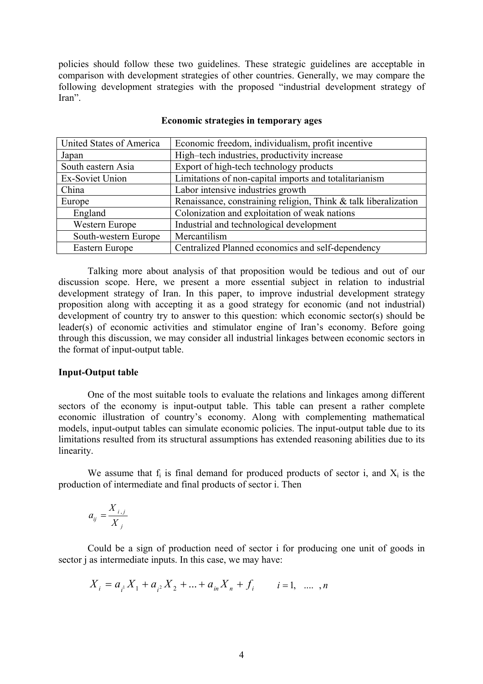policies should follow these two guidelines. These strategic guidelines are acceptable in comparison with development strategies of other countries. Generally, we may compare the following development strategies with the proposed "industrial development strategy of Iran".

| United States of America | Economic freedom, individualism, profit incentive               |
|--------------------------|-----------------------------------------------------------------|
| Japan                    | High-tech industries, productivity increase                     |
| South eastern Asia       | Export of high-tech technology products                         |
| Ex-Soviet Union          | Limitations of non-capital imports and totalitarianism          |
| China                    | Labor intensive industries growth                               |
| Europe                   | Renaissance, constraining religion, Think & talk liberalization |
| England                  | Colonization and exploitation of weak nations                   |
| Western Europe           | Industrial and technological development                        |
| South-western Europe     | Mercantilism                                                    |
| Eastern Europe           | Centralized Planned economics and self-dependency               |

#### **Economic strategies in temporary ages**

Talking more about analysis of that proposition would be tedious and out of our discussion scope. Here, we present a more essential subject in relation to industrial development strategy of Iran. In this paper, to improve industrial development strategy proposition along with accepting it as a good strategy for economic (and not industrial) development of country try to answer to this question: which economic sector(s) should be leader(s) of economic activities and stimulator engine of Iran's economy. Before going through this discussion, we may consider all industrial linkages between economic sectors in the format of input-output table.

#### **Input-Output table**

One of the most suitable tools to evaluate the relations and linkages among different sectors of the economy is input-output table. This table can present a rather complete economic illustration of country's economy. Along with complementing mathematical models, input-output tables can simulate economic policies. The input-output table due to its limitations resulted from its structural assumptions has extended reasoning abilities due to its linearity.

We assume that  $f_i$  is final demand for produced products of sector i, and  $X_i$  is the production of intermediate and final products of sector i. Then

$$
a_{ij} = \frac{X_{i,j}}{X_j}
$$

Could be a sign of production need of sector i for producing one unit of goods in sector j as intermediate inputs. In this case, we may have:

$$
X_i = a_{i} X_1 + a_{i} X_2 + \dots + a_{in} X_n + f_i \qquad i = 1, \ \dots \ , n
$$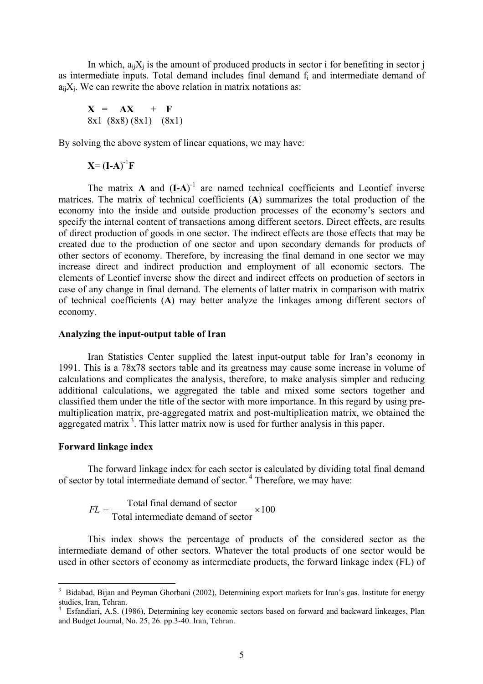In which,  $a_{ii}X_i$  is the amount of produced products in sector i for benefiting in sector j as intermediate inputs. Total demand includes final demand fi and intermediate demand of  $a_{ii}X_i$ . We can rewrite the above relation in matrix notations as:

$$
X = AX + F
$$
  
8x1 (8x8) (8x1) (8x1)

By solving the above system of linear equations, we may have:

 $X = (I-A)^{-1}F$ 

The matrix  $\bf{A}$  and  $(\bf{I}-\bf{A})$ <sup>-1</sup> are named technical coefficients and Leontief inverse matrices. The matrix of technical coefficients (**A**) summarizes the total production of the economy into the inside and outside production processes of the economy's sectors and specify the internal content of transactions among different sectors. Direct effects, are results of direct production of goods in one sector. The indirect effects are those effects that may be created due to the production of one sector and upon secondary demands for products of other sectors of economy. Therefore, by increasing the final demand in one sector we may increase direct and indirect production and employment of all economic sectors. The elements of Leontief inverse show the direct and indirect effects on production of sectors in case of any change in final demand. The elements of latter matrix in comparison with matrix of technical coefficients (**A**) may better analyze the linkages among different sectors of economy.

#### **Analyzing the input-output table of Iran**

Iran Statistics Center supplied the latest input-output table for Iran's economy in 1991. This is a 78x78 sectors table and its greatness may cause some increase in volume of calculations and complicates the analysis, therefore, to make analysis simpler and reducing additional calculations, we aggregated the table and mixed some sectors together and classified them under the title of the sector with more importance. In this regard by using premultiplication matrix, pre-aggregated matrix and post-multiplication matrix, we obtained the aggregated matrix<sup>3</sup>. This latter matrix now is used for further analysis in this paper.

#### **Forward linkage index**

 $\overline{a}$ 

The forward linkage index for each sector is calculated by dividing total final demand of sector by total intermediate demand of sector. 4 Therefore, we may have:

$$
FL = \frac{\text{Total final demand of sector}}{\text{Total intermediate demand of sector}} \times 100
$$

This index shows the percentage of products of the considered sector as the intermediate demand of other sectors. Whatever the total products of one sector would be used in other sectors of economy as intermediate products, the forward linkage index (FL) of

<sup>&</sup>lt;sup>3</sup> Bidabad, Bijan and Peyman Ghorbani (2002), Determining export markets for Iran's gas. Institute for energy studies, Iran, Tehran.

<sup>4</sup> Esfandiari, A.S. (1986), Determining key economic sectors based on forward and backward linkeages, Plan and Budget Journal, No. 25, 26. pp.3-40. Iran, Tehran.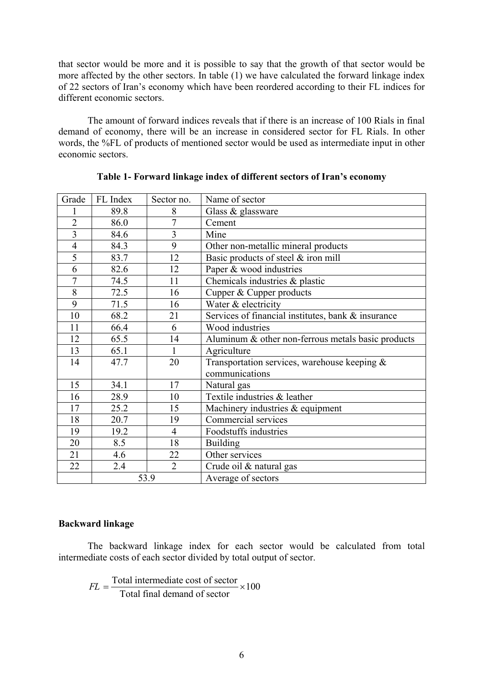that sector would be more and it is possible to say that the growth of that sector would be more affected by the other sectors. In table (1) we have calculated the forward linkage index of 22 sectors of Iran's economy which have been reordered according to their FL indices for different economic sectors.

The amount of forward indices reveals that if there is an increase of 100 Rials in final demand of economy, there will be an increase in considered sector for FL Rials. In other words, the %FL of products of mentioned sector would be used as intermediate input in other economic sectors.

| Grade          | FL Index | Sector no.     | Name of sector                                     |  |  |
|----------------|----------|----------------|----------------------------------------------------|--|--|
| 1              | 89.8     | 8              | Glass & glassware                                  |  |  |
| $\overline{2}$ | 86.0     | 7              | Cement                                             |  |  |
| $\overline{3}$ | 84.6     | 3              | Mine                                               |  |  |
| $\overline{4}$ | 84.3     | 9              | Other non-metallic mineral products                |  |  |
| 5              | 83.7     | 12             | Basic products of steel & iron mill                |  |  |
| 6              | 82.6     | 12             | Paper & wood industries                            |  |  |
| $\overline{7}$ | 74.5     | 11             | Chemicals industries & plastic                     |  |  |
| 8              | 72.5     | 16             | Cupper & Cupper products                           |  |  |
| 9              | 71.5     | 16             | Water & electricity                                |  |  |
| 10             | 68.2     | 21             | Services of financial institutes, bank & insurance |  |  |
| 11             | 66.4     | 6              | Wood industries                                    |  |  |
| 12             | 65.5     | 14             | Aluminum & other non-ferrous metals basic products |  |  |
| 13             | 65.1     |                | Agriculture                                        |  |  |
| 14             | 47.7     | 20             | Transportation services, warehouse keeping $\&$    |  |  |
|                |          |                | communications                                     |  |  |
| 15             | 34.1     | 17             | Natural gas                                        |  |  |
| 16             | 28.9     | 10             | Textile industries & leather                       |  |  |
| 17             | 25.2     | 15             | Machinery industries & equipment                   |  |  |
| 18             | 20.7     | 19             | Commercial services                                |  |  |
| 19             | 19.2     | $\overline{4}$ | Foodstuffs industries                              |  |  |
| 20             | 8.5      | 18             | <b>Building</b>                                    |  |  |
| 21             | 4.6      | 22             | Other services                                     |  |  |
| 22             | 2.4      | $\overline{2}$ | Crude oil & natural gas                            |  |  |
|                |          | 53.9           | Average of sectors                                 |  |  |

#### **Table 1- Forward linkage index of different sectors of Iran's economy**

## **Backward linkage**

The backward linkage index for each sector would be calculated from total intermediate costs of each sector divided by total output of sector.

$$
FL = \frac{\text{Total intermediate cost of sector}}{\text{Total final demand of sector}} \times 100
$$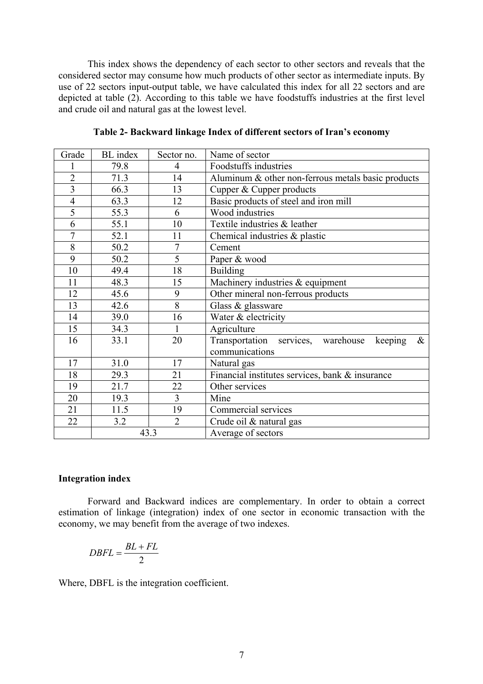This index shows the dependency of each sector to other sectors and reveals that the considered sector may consume how much products of other sector as intermediate inputs. By use of 22 sectors input-output table, we have calculated this index for all 22 sectors and are depicted at table (2). According to this table we have foodstuffs industries at the first level and crude oil and natural gas at the lowest level.

| Grade          | <b>BL</b> index | Sector no.     | Name of sector                                                          |  |  |
|----------------|-----------------|----------------|-------------------------------------------------------------------------|--|--|
|                | 79.8            | $\overline{4}$ | Foodstuffs industries                                                   |  |  |
| $\overline{2}$ | 71.3            | 14             | Aluminum & other non-ferrous metals basic products                      |  |  |
| $\overline{3}$ | 66.3            | 13             | Cupper & Cupper products                                                |  |  |
| $\overline{4}$ | 63.3            | 12             | Basic products of steel and iron mill                                   |  |  |
| 5              | 55.3            | 6              | Wood industries                                                         |  |  |
| 6              | 55.1            | 10             | Textile industries & leather                                            |  |  |
| $\overline{7}$ | 52.1            | 11             | Chemical industries & plastic                                           |  |  |
| 8              | 50.2            | $\overline{7}$ | Cement                                                                  |  |  |
| 9              | 50.2            | 5              | Paper & wood                                                            |  |  |
| 10             | 49.4            | 18             | <b>Building</b>                                                         |  |  |
| 11             | 48.3            | 15             | Machinery industries & equipment                                        |  |  |
| 12             | 45.6            | 9              | Other mineral non-ferrous products                                      |  |  |
| 13             | 42.6            | $\overline{8}$ | Glass & glassware                                                       |  |  |
| 14             | 39.0            | 16             | Water & electricity                                                     |  |  |
| 15             | 34.3            | $\mathbf{1}$   | Agriculture                                                             |  |  |
| 16             | 33.1            | 20             | Transportation services, warehouse<br>keeping<br>$\&$<br>communications |  |  |
| 17             | 31.0            | 17             | Natural gas                                                             |  |  |
| 18             | 29.3            | 21             | Financial institutes services, bank & insurance                         |  |  |
| 19             | 21.7            | 22             | Other services                                                          |  |  |
| 20             | 19.3            | $\overline{3}$ | Mine                                                                    |  |  |
| 21             | 11.5            | 19             | Commercial services                                                     |  |  |
| 22             | 3.2             | $\overline{2}$ | Crude oil & natural gas                                                 |  |  |
|                |                 | 43.3           | Average of sectors                                                      |  |  |

**Table 2- Backward linkage Index of different sectors of Iran's economy** 

### **Integration index**

Forward and Backward indices are complementary. In order to obtain a correct estimation of linkage (integration) index of one sector in economic transaction with the economy, we may benefit from the average of two indexes.

$$
DBFL = \frac{BL + FL}{2}
$$

Where, DBFL is the integration coefficient.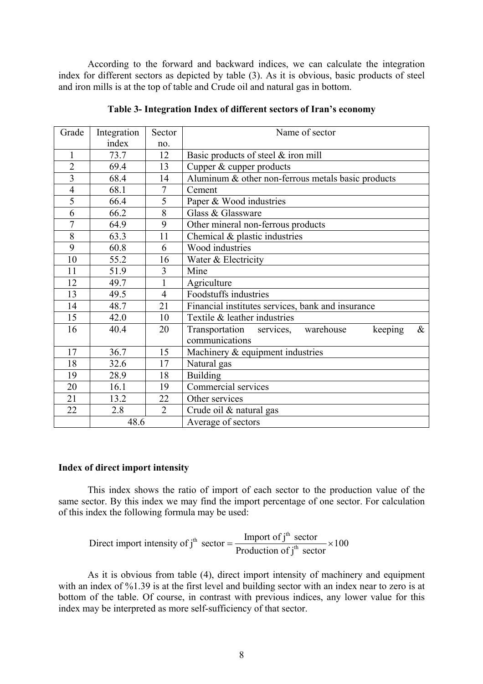According to the forward and backward indices, we can calculate the integration index for different sectors as depicted by table (3). As it is obvious, basic products of steel and iron mills is at the top of table and Crude oil and natural gas in bottom.

| Grade          | Integration | Sector         | Name of sector                                              |  |  |  |
|----------------|-------------|----------------|-------------------------------------------------------------|--|--|--|
|                | index       | no.            |                                                             |  |  |  |
| 1              | 73.7        | 12             | Basic products of steel $&$ iron mill                       |  |  |  |
| $\overline{2}$ | 69.4        | 13             | Cupper & cupper products                                    |  |  |  |
| $\overline{3}$ | 68.4        | 14             | Aluminum & other non-ferrous metals basic products          |  |  |  |
| $\overline{4}$ | 68.1        | $\overline{7}$ | Cement                                                      |  |  |  |
| 5              | 66.4        | 5              | Paper & Wood industries                                     |  |  |  |
| 6              | 66.2        | 8              | Glass & Glassware                                           |  |  |  |
| $\overline{7}$ | 64.9        | 9              | Other mineral non-ferrous products                          |  |  |  |
| 8              | 63.3        | 11             | Chemical $\&$ plastic industries                            |  |  |  |
| 9              | 60.8        | 6              | Wood industries                                             |  |  |  |
| 10             | 55.2        | 16             | Water & Electricity                                         |  |  |  |
| 11             | 51.9        | 3              | Mine                                                        |  |  |  |
| 12             | 49.7        | $\mathbf{1}$   | Agriculture                                                 |  |  |  |
| 13             | 49.5        | $\overline{4}$ | Foodstuffs industries                                       |  |  |  |
| 14             | 48.7        | 21             | Financial institutes services, bank and insurance           |  |  |  |
| 15             | 42.0        | 10             | Textile & leather industries                                |  |  |  |
| 16             | 40.4        | 20             | Transportation<br>warehouse<br>$\&$<br>keeping<br>services, |  |  |  |
|                |             |                | communications                                              |  |  |  |
| 17             | 36.7        | 15             | Machinery & equipment industries                            |  |  |  |
| 18             | 32.6        | 17             | Natural gas                                                 |  |  |  |
| 19             | 28.9        | 18             | <b>Building</b>                                             |  |  |  |
| 20             | 16.1        | 19             | Commercial services                                         |  |  |  |
| 21             | 13.2        | 22             | Other services                                              |  |  |  |
| 22             | 2.8         | $\overline{2}$ | Crude oil & natural gas                                     |  |  |  |
|                | 48.6        |                | Average of sectors                                          |  |  |  |

**Table 3- Integration Index of different sectors of Iran's economy** 

## **Index of direct import intensity**

This index shows the ratio of import of each sector to the production value of the same sector. By this index we may find the import percentage of one sector. For calculation of this index the following formula may be used:

Direct import intensity of j<sup>th</sup> sector = 
$$
\frac{\text{Import of jth sector}}{\text{Production of jth sector}} \times 100
$$

As it is obvious from table (4), direct import intensity of machinery and equipment with an index of %1.39 is at the first level and building sector with an index near to zero is at bottom of the table. Of course, in contrast with previous indices, any lower value for this index may be interpreted as more self-sufficiency of that sector.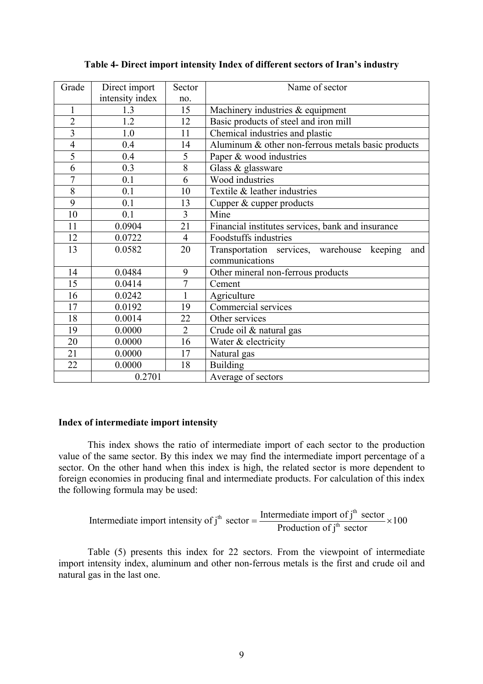| Grade                   | Direct import   | Sector         | Name of sector                                       |
|-------------------------|-----------------|----------------|------------------------------------------------------|
|                         | intensity index | no.            |                                                      |
| $\mathbf{1}$            | 1.3             | 15             | Machinery industries & equipment                     |
| $\overline{2}$          | 1.2             | 12             | Basic products of steel and iron mill                |
| $\overline{\mathbf{3}}$ | 1.0             | 11             | Chemical industries and plastic                      |
| $\overline{4}$          | 0.4             | 14             | Aluminum & other non-ferrous metals basic products   |
| $\overline{5}$          | 0.4             | 5              | Paper & wood industries                              |
| 6                       | 0.3             | $8\,$          | Glass & glassware                                    |
| $\overline{7}$          | 0.1             | 6              | Wood industries                                      |
| 8                       | 0.1             | 10             | Textile & leather industries                         |
| 9                       | 0.1             | 13             | Cupper & cupper products                             |
| 10                      | 0.1             | $\overline{3}$ | Mine                                                 |
| 11                      | 0.0904          | 21             | Financial institutes services, bank and insurance    |
| 12                      | 0.0722          | $\overline{4}$ | Foodstuffs industries                                |
| 13                      | 0.0582          | 20             | Transportation services, warehouse<br>keeping<br>and |
|                         |                 |                | communications                                       |
| 14                      | 0.0484          | 9              | Other mineral non-ferrous products                   |
| 15                      | 0.0414          | $\overline{7}$ | Cement                                               |
| 16                      | 0.0242          | $\mathbf{1}$   | Agriculture                                          |
| 17                      | 0.0192          | 19             | Commercial services                                  |
| 18                      | 0.0014          | 22             | Other services                                       |
| 19                      | 0.0000          | $\overline{2}$ | Crude oil & natural gas                              |
| 20                      | 0.0000          | 16             | Water & electricity                                  |
| 21                      | 0.0000          | 17             | Natural gas                                          |
| 22                      | 0.0000          | 18             | <b>Building</b>                                      |
|                         | 0.2701          |                | Average of sectors                                   |

## **Table 4- Direct import intensity Index of different sectors of Iran's industry**

#### **Index of intermediate import intensity**

This index shows the ratio of intermediate import of each sector to the production value of the same sector. By this index we may find the intermediate import percentage of a sector. On the other hand when this index is high, the related sector is more dependent to foreign economies in producing final and intermediate products. For calculation of this index the following formula may be used:

Intermediate import intensity of j<sup>th</sup> sector = 
$$
\frac{\text{Intermediate import of jth sector}}{\text{Production of jth sector}} \times 100
$$

Table (5) presents this index for 22 sectors. From the viewpoint of intermediate import intensity index, aluminum and other non-ferrous metals is the first and crude oil and natural gas in the last one.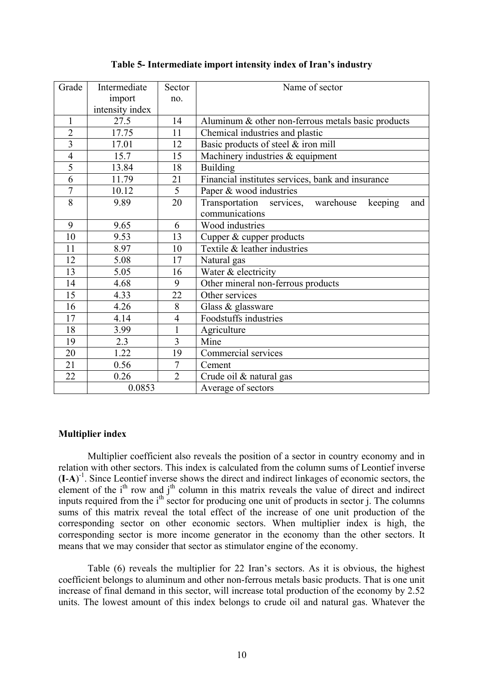|  | Table 5- Intermediate import intensity index of Iran's industry |  |  |  |
|--|-----------------------------------------------------------------|--|--|--|
|  |                                                                 |  |  |  |

| Grade          | Intermediate    | Sector           | Name of sector                                       |
|----------------|-----------------|------------------|------------------------------------------------------|
|                | import          | no.              |                                                      |
|                | intensity index |                  |                                                      |
| $\mathbf{1}$   | 27.5            | 14               | Aluminum & other non-ferrous metals basic products   |
| $\overline{2}$ | 17.75           | 11               | Chemical industries and plastic                      |
| $\overline{3}$ | 17.01           | 12               | Basic products of steel & iron mill                  |
| $\overline{4}$ | 15.7            | 15               | Machinery industries & equipment                     |
| 5              | 13.84           | 18               | <b>Building</b>                                      |
| 6              | 11.79           | 21               | Financial institutes services, bank and insurance    |
| $\overline{7}$ | 10.12           | 5                | Paper & wood industries                              |
| 8              | 9.89            | 20               | Transportation services, warehouse<br>keeping<br>and |
|                |                 |                  | communications                                       |
| 9              | 9.65            | 6                | Wood industries                                      |
| 10             | 9.53            | 13               | Cupper & cupper products                             |
| 11             | 8.97            | 10               | Textile & leather industries                         |
| 12             | 5.08            | 17               | Natural gas                                          |
| 13             | 5.05            | 16               | Water & electricity                                  |
| 14             | 4.68            | 9                | Other mineral non-ferrous products                   |
| 15             | 4.33            | 22               | Other services                                       |
| 16             | 4.26            | 8                | Glass $\&$ glassware                                 |
| 17             | 4.14            | $\overline{4}$   | Foodstuffs industries                                |
| 18             | 3.99            | 1                | Agriculture                                          |
| 19             | 2.3             | $\overline{3}$   | Mine                                                 |
| 20             | 1.22            | 19               | Commercial services                                  |
| 21             | 0.56            | $\boldsymbol{7}$ | Cement                                               |
| 22             | 0.26            | $\overline{2}$   | Crude oil & natural gas                              |
|                | 0.0853          |                  | Average of sectors                                   |

## **Multiplier index**

Multiplier coefficient also reveals the position of a sector in country economy and in relation with other sectors. This index is calculated from the column sums of Leontief inverse (**I**-**A**) -1. Since Leontief inverse shows the direct and indirect linkages of economic sectors, the element of the i<sup>th</sup> row and j<sup>th</sup> column in this matrix reveals the value of direct and indirect inputs required from the i<sup>th</sup> sector for producing one unit of products in sector j. The columns sums of this matrix reveal the total effect of the increase of one unit production of the corresponding sector on other economic sectors. When multiplier index is high, the corresponding sector is more income generator in the economy than the other sectors. It means that we may consider that sector as stimulator engine of the economy.

Table (6) reveals the multiplier for 22 Iran's sectors. As it is obvious, the highest coefficient belongs to aluminum and other non-ferrous metals basic products. That is one unit increase of final demand in this sector, will increase total production of the economy by 2.52 units. The lowest amount of this index belongs to crude oil and natural gas. Whatever the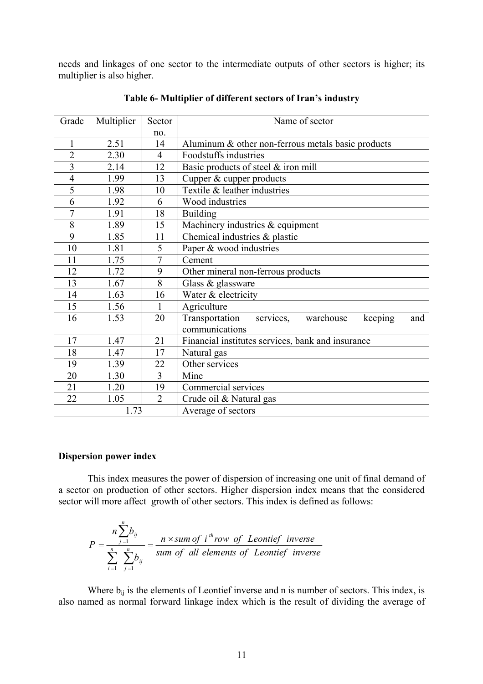needs and linkages of one sector to the intermediate outputs of other sectors is higher; its multiplier is also higher.

| Grade                   | Multiplier | Sector         | Name of sector                                          |  |  |  |
|-------------------------|------------|----------------|---------------------------------------------------------|--|--|--|
|                         |            | no.            |                                                         |  |  |  |
| $\mathbf{1}$            | 2.51       | 14             | Aluminum & other non-ferrous metals basic products      |  |  |  |
| $\overline{2}$          | 2.30       | $\overline{4}$ | Foodstuffs industries                                   |  |  |  |
| $\overline{\mathbf{3}}$ | 2.14       | 12             | Basic products of steel & iron mill                     |  |  |  |
| $\overline{4}$          | 1.99       | 13             | Cupper & cupper products                                |  |  |  |
| 5                       | 1.98       | 10             | Textile & leather industries                            |  |  |  |
| 6                       | 1.92       | 6              | Wood industries                                         |  |  |  |
| $\overline{7}$          | 1.91       | 18             | <b>Building</b>                                         |  |  |  |
| 8                       | 1.89       | 15             | Machinery industries & equipment                        |  |  |  |
| 9                       | 1.85       | 11             | Chemical industries & plastic                           |  |  |  |
| 10                      | 1.81       | 5              | Paper & wood industries                                 |  |  |  |
| 11                      | 1.75       | $\overline{7}$ | Cement                                                  |  |  |  |
| 12                      | 1.72       | 9              | Other mineral non-ferrous products                      |  |  |  |
| 13                      | 1.67       | 8              | Glass & glassware                                       |  |  |  |
| 14                      | 1.63       | 16             | Water & electricity                                     |  |  |  |
| 15                      | 1.56       | $\mathbf{1}$   | Agriculture                                             |  |  |  |
| 16                      | 1.53       | 20             | services, warehouse<br>Transportation<br>keeping<br>and |  |  |  |
|                         |            |                | communications                                          |  |  |  |
| 17                      | 1.47       | 21             | Financial institutes services, bank and insurance       |  |  |  |
| 18                      | 1.47       | 17             | Natural gas                                             |  |  |  |
| 19                      | 1.39       | 22             | Other services                                          |  |  |  |
| 20                      | 1.30       | $\overline{3}$ | Mine                                                    |  |  |  |
| 21                      | 1.20       | 19             | Commercial services                                     |  |  |  |
| 22                      | 1.05       | $\overline{2}$ | Crude oil & Natural gas                                 |  |  |  |
|                         | 1.73       |                | Average of sectors                                      |  |  |  |

**Table 6- Multiplier of different sectors of Iran's industry** 

#### **Dispersion power index**

This index measures the power of dispersion of increasing one unit of final demand of a sector on production of other sectors. Higher dispersion index means that the considered sector will more affect growth of other sectors. This index is defined as follows:

$$
P = \frac{n \sum_{j=1}^{n} b_{ij}}{\sum_{i=1}^{n} \sum_{j=1}^{n} b_{ij}} = \frac{n \times sum \ of \ i^{th} row \ of \ Lentief \ inverse}{sum \ of \ all \ elements \ of \ Lentief \ inverse}
$$

Where  $b_{ij}$  is the elements of Leontief inverse and n is number of sectors. This index, is also named as normal forward linkage index which is the result of dividing the average of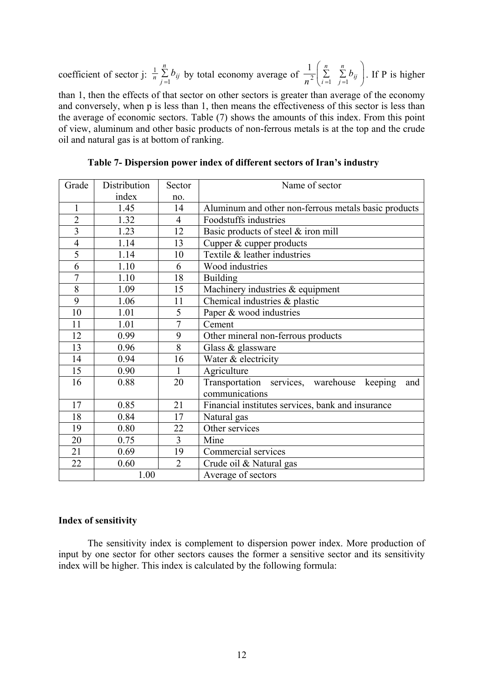coefficient of sector j:  $\frac{1}{n} \sum_{j=1}^{n}$ *n*  $\frac{Z}{n}$   $\frac{U}{j}$   $\frac{U}{j}$ *b*  $\sum_{i=1}^{n} b_{ij}$  by total economy average of  $\frac{1}{n^2} \begin{pmatrix} n \\ \sum_{i=1}^{n} \\ 1 \end{pmatrix}$  $\begin{array}{cc} \n\angle & \angle & \cup_i \\ \n=1 & j=1 \n\end{array}$ *b*  $rac{1}{n^2} \left( \sum_{i=1}^n \sum_{j=1}^n b_{ij} \right)$  $\left(\sum_{i=1}^{\infty}\sum_{j=1}^{n}b_{ij}\right)$ . If P is higher than 1, then the effects of that sector on other sectors is greater than average of the economy and conversely, when p is less than 1, then means the effectiveness of this sector is less than the average of economic sectors. Table (7) shows the amounts of this index. From this point of view, aluminum and other basic products of non-ferrous metals is at the top and the crude oil and natural gas is at bottom of ranking.

| Grade                   | Distribution | Sector         | Name of sector                                       |  |  |
|-------------------------|--------------|----------------|------------------------------------------------------|--|--|
|                         | index        | no.            |                                                      |  |  |
| $\mathbf{1}$            | 1.45         | 14             | Aluminum and other non-ferrous metals basic products |  |  |
| $\overline{2}$          | 1.32         | $\overline{4}$ | Foodstuffs industries                                |  |  |
| $\overline{\mathbf{3}}$ | 1.23         | 12             | Basic products of steel & iron mill                  |  |  |
| $\overline{4}$          | 1.14         | 13             | Cupper & cupper products                             |  |  |
| 5                       | 1.14         | 10             | Textile & leather industries                         |  |  |
| 6                       | 1.10         | 6              | Wood industries                                      |  |  |
| $\overline{7}$          | 1.10         | 18             | <b>Building</b>                                      |  |  |
| $\overline{8}$          | 1.09         | 15             | Machinery industries & equipment                     |  |  |
| 9                       | 1.06         | 11             | Chemical industries & plastic                        |  |  |
| 10                      | 1.01         | 5              | Paper & wood industries                              |  |  |
| 11                      | 1.01         | $\overline{7}$ | Cement                                               |  |  |
| 12                      | 0.99         | 9              | Other mineral non-ferrous products                   |  |  |
| 13                      | 0.96         | 8              | Glass & glassware                                    |  |  |
| 14                      | 0.94         | 16             | Water & electricity                                  |  |  |
| 15                      | 0.90         | $\mathbf{1}$   | Agriculture                                          |  |  |
| 16                      | 0.88         | 20             | Transportation services, warehouse<br>keeping<br>and |  |  |
|                         |              |                | communications                                       |  |  |
| 17                      | 0.85         | 21             | Financial institutes services, bank and insurance    |  |  |
| 18                      | 0.84         | 17             | Natural gas                                          |  |  |
| 19                      | 0.80         | 22             | Other services                                       |  |  |
| 20                      | 0.75         | $\overline{3}$ | Mine                                                 |  |  |
| 21                      | 0.69         | 19             | Commercial services                                  |  |  |
| 22                      | 0.60         | $\overline{2}$ | Crude oil & Natural gas                              |  |  |
|                         | 1.00         |                | Average of sectors                                   |  |  |

**Table 7- Dispersion power index of different sectors of Iran's industry** 

## **Index of sensitivity**

The sensitivity index is complement to dispersion power index. More production of input by one sector for other sectors causes the former a sensitive sector and its sensitivity index will be higher. This index is calculated by the following formula: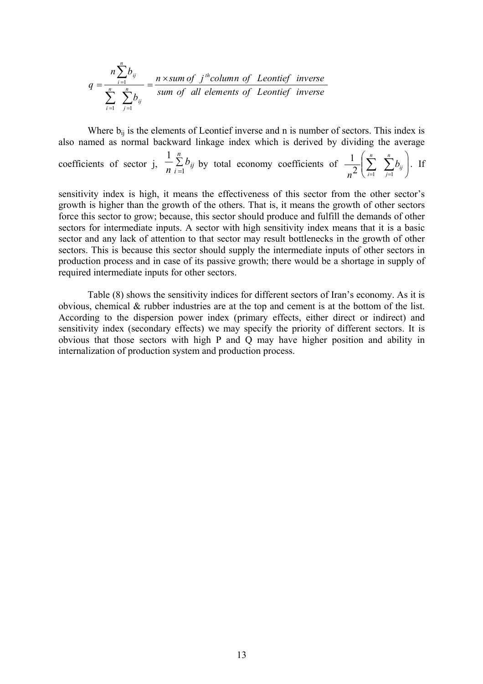$$
q = \frac{n \sum_{i=1}^{n} b_{ij}}{\sum_{i=1}^{n} \sum_{j=1}^{n} b_{ij}} = \frac{n \times sum \ of \ j^{th} column \ of \ Leontief \ inverse}{sum \ of \ all \ elements \ of \ Leontief \ inverse}
$$

Where  $b_{ij}$  is the elements of Leontief inverse and n is number of sectors. This index is also named as normal backward linkage index which is derived by dividing the average coefficients of sector j,  $\frac{\ }{n}\sum_{i=1}^{n}$ 1 *n*  $\sum_{i=1}^{L} b_{ij}$ *b*  $\frac{1}{n} \sum_{i=1}^{n} b_{ij}$  by total economy coefficients of  $\frac{1}{n^2} \left| \sum_{i=1}^{n} \sum_{j=1}^{n} b_{ij} \right|$  $\bigg)$  $\setminus$  $\overline{\phantom{a}}$  $\setminus$  $\left(\sum_{i=1}^n\right)\sum_{j=1}^n$ *i n j*  $\frac{1}{n^2}\left(\sum_{i=1}^n\sum_{j=1}^n b_{ij}\right)$  $\frac{1}{2} \left( \sum_{i=1}^{n} \sum_{j=1}^{n} b_{ij} \right)$ . If

sensitivity index is high, it means the effectiveness of this sector from the other sector's growth is higher than the growth of the others. That is, it means the growth of other sectors force this sector to grow; because, this sector should produce and fulfill the demands of other sectors for intermediate inputs. A sector with high sensitivity index means that it is a basic sector and any lack of attention to that sector may result bottlenecks in the growth of other sectors. This is because this sector should supply the intermediate inputs of other sectors in production process and in case of its passive growth; there would be a shortage in supply of required intermediate inputs for other sectors.

Table (8) shows the sensitivity indices for different sectors of Iran's economy. As it is obvious, chemical & rubber industries are at the top and cement is at the bottom of the list. According to the dispersion power index (primary effects, either direct or indirect) and sensitivity index (secondary effects) we may specify the priority of different sectors. It is obvious that those sectors with high P and Q may have higher position and ability in internalization of production system and production process.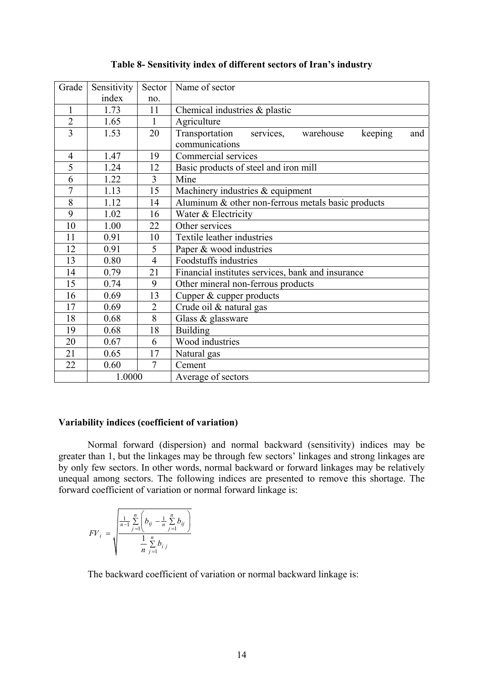| Grade          | Sensitivity | Sector         | Name of sector                                          |  |  |  |
|----------------|-------------|----------------|---------------------------------------------------------|--|--|--|
|                | index       | no.            |                                                         |  |  |  |
| $\mathbf{1}$   | 1.73        | 11             | Chemical industries $\&$ plastic                        |  |  |  |
| $\overline{2}$ | 1.65        | $\mathbf{1}$   | Agriculture                                             |  |  |  |
| $\overline{3}$ | 1.53        | 20             | services, warehouse<br>Transportation<br>keeping<br>and |  |  |  |
|                |             |                | communications                                          |  |  |  |
| $\overline{4}$ | 1.47        | 19             | Commercial services                                     |  |  |  |
| $\overline{5}$ | 1.24        | 12             | Basic products of steel and iron mill                   |  |  |  |
| 6              | 1.22        | $\overline{3}$ | Mine                                                    |  |  |  |
| 7              | 1.13        | 15             | Machinery industries & equipment                        |  |  |  |
| 8              | 1.12        | 14             | Aluminum & other non-ferrous metals basic products      |  |  |  |
| 9              | 1.02        | 16             | Water & Electricity                                     |  |  |  |
| 10             | 1.00        | 22             | Other services                                          |  |  |  |
| 11             | 0.91        | 10             | Textile leather industries                              |  |  |  |
| 12             | 0.91        | 5              | Paper & wood industries                                 |  |  |  |
| 13             | 0.80        | $\overline{4}$ | Foodstuffs industries                                   |  |  |  |
| 14             | 0.79        | 21             | Financial institutes services, bank and insurance       |  |  |  |
| 15             | 0.74        | 9              | Other mineral non-ferrous products                      |  |  |  |
| 16             | 0.69        | 13             | Cupper & cupper products                                |  |  |  |
| 17             | 0.69        | $\overline{2}$ | Crude oil & natural gas                                 |  |  |  |
| 18             | 0.68        | 8              | Glass & glassware                                       |  |  |  |
| 19             | 0.68        | 18             | <b>Building</b>                                         |  |  |  |
| 20             | 0.67        | 6              | Wood industries                                         |  |  |  |
| 21             | 0.65        | 17             | Natural gas                                             |  |  |  |
| 22             | 0.60        | $\overline{7}$ | Cement                                                  |  |  |  |
|                | 1.0000      |                | Average of sectors                                      |  |  |  |

## **Table 8- Sensitivity index of different sectors of Iran's industry**

#### **Variability indices (coefficient of variation)**

Normal forward (dispersion) and normal backward (sensitivity) indices may be greater than 1, but the linkages may be through few sectors' linkages and strong linkages are by only few sectors. In other words, normal backward or forward linkages may be relatively unequal among sectors. The following indices are presented to remove this shortage. The forward coefficient of variation or normal forward linkage is:

$$
FV_i = \sqrt{\frac{\frac{1}{n-1} \sum_{j=1}^{n} \left( b_{ij} - \frac{1}{n} \sum_{j=1}^{n} b_{ij} \right)}{\frac{1}{n} \sum_{j=1}^{n} b_{ij}}}
$$

The backward coefficient of variation or normal backward linkage is: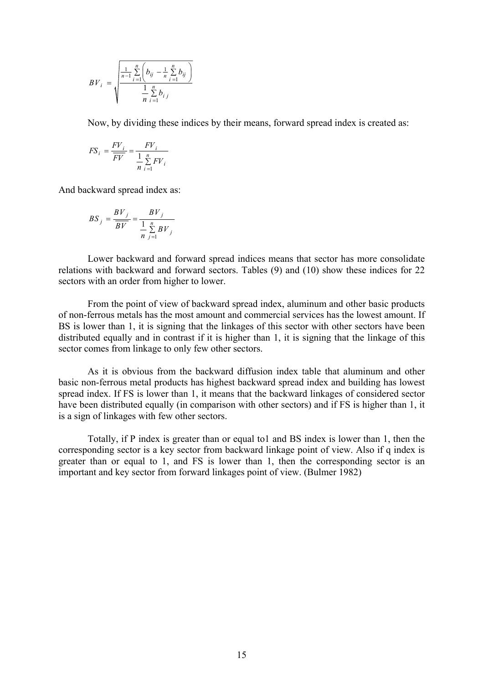$$
BV_i = \sqrt{\frac{\frac{1}{n-1} \sum_{i=1}^{n} \left( b_{ij} - \frac{1}{n} \sum_{i=1}^{n} b_{ij} \right)}{\frac{1}{n} \sum_{i=1}^{n} b_{ij}}
$$

Now, by dividing these indices by their means, forward spread index is created as:

$$
FS_i = \frac{FV_i}{FV} = \frac{FV_i}{\frac{1}{n} \sum_{i=1}^{n} FV_i}
$$

And backward spread index as:

$$
BS_j = \frac{BV_j}{BV} = \frac{BV_j}{\frac{1}{n} \sum_{j=1}^{n} BV_j}
$$

Lower backward and forward spread indices means that sector has more consolidate relations with backward and forward sectors. Tables (9) and (10) show these indices for 22 sectors with an order from higher to lower.

From the point of view of backward spread index, aluminum and other basic products of non-ferrous metals has the most amount and commercial services has the lowest amount. If BS is lower than 1, it is signing that the linkages of this sector with other sectors have been distributed equally and in contrast if it is higher than 1, it is signing that the linkage of this sector comes from linkage to only few other sectors.

As it is obvious from the backward diffusion index table that aluminum and other basic non-ferrous metal products has highest backward spread index and building has lowest spread index. If FS is lower than 1, it means that the backward linkages of considered sector have been distributed equally (in comparison with other sectors) and if FS is higher than 1, it is a sign of linkages with few other sectors.

Totally, if P index is greater than or equal to1 and BS index is lower than 1, then the corresponding sector is a key sector from backward linkage point of view. Also if q index is greater than or equal to 1, and FS is lower than 1, then the corresponding sector is an important and key sector from forward linkages point of view. (Bulmer 1982)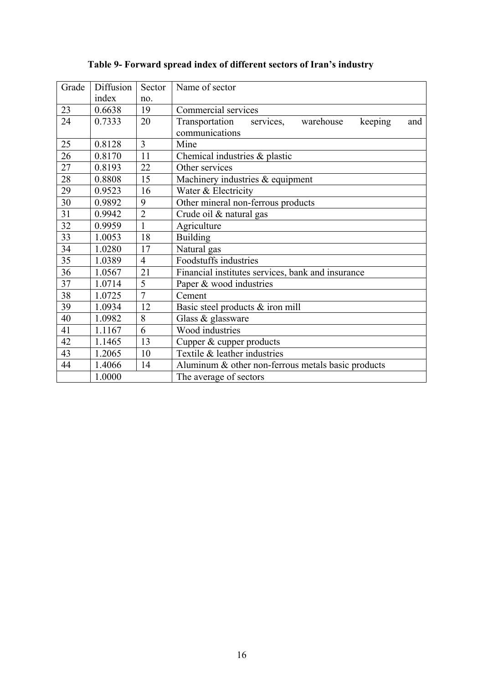| Grade | Diffusion | Sector          | Name of sector                                          |  |  |  |  |
|-------|-----------|-----------------|---------------------------------------------------------|--|--|--|--|
|       | index     | no.             |                                                         |  |  |  |  |
| 23    | 0.6638    | 19              | Commercial services                                     |  |  |  |  |
| 24    | 0.7333    | 20              | services, warehouse<br>keeping<br>Transportation<br>and |  |  |  |  |
|       |           |                 | communications                                          |  |  |  |  |
| 25    | 0.8128    | $\overline{3}$  | Mine                                                    |  |  |  |  |
| 26    | 0.8170    | 11              | Chemical industries & plastic                           |  |  |  |  |
| 27    | 0.8193    | 22              | Other services                                          |  |  |  |  |
| 28    | 0.8808    | $\overline{15}$ | Machinery industries & equipment                        |  |  |  |  |
| 29    | 0.9523    | 16              | Water & Electricity                                     |  |  |  |  |
| 30    | 0.9892    | 9               | Other mineral non-ferrous products                      |  |  |  |  |
| 31    | 0.9942    | $\overline{2}$  | Crude oil & natural gas                                 |  |  |  |  |
| 32    | 0.9959    | $\mathbf{1}$    | Agriculture                                             |  |  |  |  |
| 33    | 1.0053    | 18              | <b>Building</b>                                         |  |  |  |  |
| 34    | 1.0280    | 17              | Natural gas                                             |  |  |  |  |
| 35    | 1.0389    | $\overline{4}$  | Foodstuffs industries                                   |  |  |  |  |
| 36    | 1.0567    | 21              | Financial institutes services, bank and insurance       |  |  |  |  |
| 37    | 1.0714    | 5               | Paper & wood industries                                 |  |  |  |  |
| 38    | 1.0725    | $\overline{7}$  | Cement                                                  |  |  |  |  |
| 39    | 1.0934    | 12              | Basic steel products & iron mill                        |  |  |  |  |
| 40    | 1.0982    | 8               | Glass & glassware                                       |  |  |  |  |
| 41    | 1.1167    | 6               | Wood industries                                         |  |  |  |  |
| 42    | 1.1465    | 13              | Cupper & cupper products                                |  |  |  |  |
| 43    | 1.2065    | 10              | Textile & leather industries                            |  |  |  |  |
| 44    | 1.4066    | 14              | Aluminum $\&$ other non-ferrous metals basic products   |  |  |  |  |
|       | 1.0000    |                 | The average of sectors                                  |  |  |  |  |

## **Table 9- Forward spread index of different sectors of Iran's industry**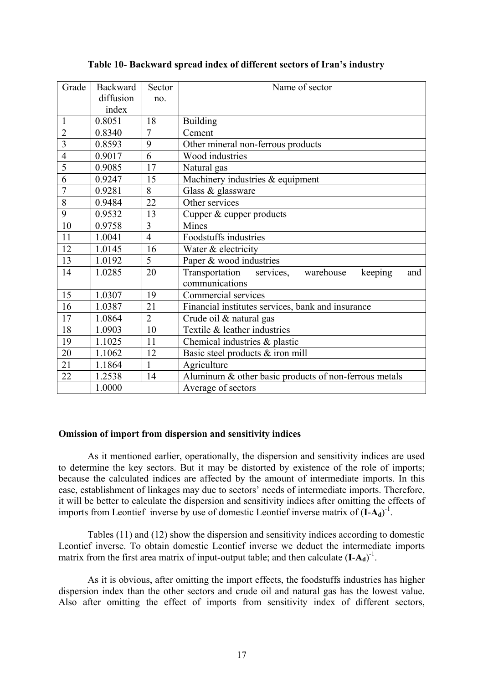## **Table 10- Backward spread index of different sectors of Iran's industry**

| Grade          | <b>Backward</b> | Sector         | Name of sector                                          |  |  |
|----------------|-----------------|----------------|---------------------------------------------------------|--|--|
|                | diffusion       | no.            |                                                         |  |  |
|                | index           |                |                                                         |  |  |
| $\mathbf{1}$   | 0.8051          | 18             | <b>Building</b>                                         |  |  |
| $\overline{2}$ | 0.8340          | $\overline{7}$ | Cement                                                  |  |  |
| $\overline{3}$ | 0.8593          | 9              | Other mineral non-ferrous products                      |  |  |
| $\overline{4}$ | 0.9017          | 6              | Wood industries                                         |  |  |
| 5              | 0.9085          | 17             | Natural gas                                             |  |  |
| 6              | 0.9247          | 15             | Machinery industries & equipment                        |  |  |
| $\overline{7}$ | 0.9281          | 8              | Glass & glassware                                       |  |  |
| 8              | 0.9484          | 22             | Other services                                          |  |  |
| 9              | 0.9532          | 13             | Cupper & cupper products                                |  |  |
| 10             | 0.9758          | $\overline{3}$ | Mines                                                   |  |  |
| 11             | 1.0041          | $\overline{4}$ | Foodstuffs industries                                   |  |  |
| 12             | 1.0145          | 16             | Water & electricity                                     |  |  |
| 13             | 1.0192          | 5              | Paper & wood industries                                 |  |  |
| 14             | 1.0285          | 20             | keeping<br>Transportation services,<br>warehouse<br>and |  |  |
|                |                 |                | communications                                          |  |  |
| 15             | 1.0307          | 19             | Commercial services                                     |  |  |
| 16             | 1.0387          | 21             | Financial institutes services, bank and insurance       |  |  |
| 17             | 1.0864          | $\overline{2}$ | Crude oil & natural gas                                 |  |  |
| 18             | 1.0903          | 10             | Textile & leather industries                            |  |  |
| 19             | 1.1025          | 11             | Chemical industries & plastic                           |  |  |
| 20             | 1.1062          | 12             | Basic steel products & iron mill                        |  |  |
| 21             | 1.1864          | $\mathbf{1}$   | Agriculture                                             |  |  |
| 22             | 1.2538          | 14             | Aluminum & other basic products of non-ferrous metals   |  |  |
|                | 1.0000          |                | Average of sectors                                      |  |  |

## **Omission of import from dispersion and sensitivity indices**

As it mentioned earlier, operationally, the dispersion and sensitivity indices are used to determine the key sectors. But it may be distorted by existence of the role of imports; because the calculated indices are affected by the amount of intermediate imports. In this case, establishment of linkages may due to sectors' needs of intermediate imports. Therefore, it will be better to calculate the dispersion and sensitivity indices after omitting the effects of imports from Leontief inverse by use of domestic Leontief inverse matrix of  $(I - A_d)^{-1}$ .

Tables (11) and (12) show the dispersion and sensitivity indices according to domestic Leontief inverse. To obtain domestic Leontief inverse we deduct the intermediate imports matrix from the first area matrix of input-output table; and then calculate  $(I - A_d)^{-1}$ .

As it is obvious, after omitting the import effects, the foodstuffs industries has higher dispersion index than the other sectors and crude oil and natural gas has the lowest value. Also after omitting the effect of imports from sensitivity index of different sectors,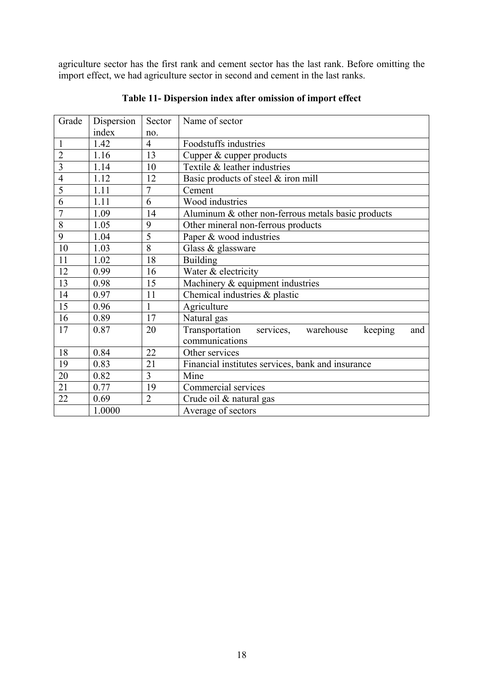agriculture sector has the first rank and cement sector has the last rank. Before omitting the import effect, we had agriculture sector in second and cement in the last ranks.

| Grade          | Dispersion | Sector         | Name of sector                                          |  |
|----------------|------------|----------------|---------------------------------------------------------|--|
|                | index      | no.            |                                                         |  |
| $\mathbf{1}$   | 1.42       | $\overline{4}$ | Foodstuffs industries                                   |  |
| $\overline{2}$ | 1.16       | 13             | Cupper & cupper products                                |  |
| 3              | 1.14       | 10             | Textile & leather industries                            |  |
| $\overline{4}$ | 1.12       | 12             | Basic products of steel & iron mill                     |  |
| 5              | 1.11       | $\overline{7}$ | Cement                                                  |  |
| 6              | 1.11       | 6              | Wood industries                                         |  |
| 7              | 1.09       | 14             | Aluminum & other non-ferrous metals basic products      |  |
| 8              | 1.05       | 9              | Other mineral non-ferrous products                      |  |
| 9              | 1.04       | 5              | Paper & wood industries                                 |  |
| 10             | 1.03       | 8              | Glass & glassware                                       |  |
| 11             | 1.02       | 18             | <b>Building</b>                                         |  |
| 12             | 0.99       | 16             | Water & electricity                                     |  |
| 13             | 0.98       | 15             | Machinery & equipment industries                        |  |
| 14             | 0.97       | 11             | Chemical industries $&$ plastic                         |  |
| 15             | 0.96       | 1              | Agriculture                                             |  |
| 16             | 0.89       | 17             | Natural gas                                             |  |
| 17             | 0.87       | 20             | services, warehouse<br>Transportation<br>keeping<br>and |  |
|                |            |                | communications                                          |  |
| 18             | 0.84       | 22             | Other services                                          |  |
| 19             | 0.83       | 21             | Financial institutes services, bank and insurance       |  |
| 20             | 0.82       | 3              | Mine                                                    |  |
| 21             | 0.77       | 19             | Commercial services                                     |  |
| 22             | 0.69       | $\overline{2}$ | Crude oil & natural gas                                 |  |
|                | 1.0000     |                | Average of sectors                                      |  |

**Table 11- Dispersion index after omission of import effect**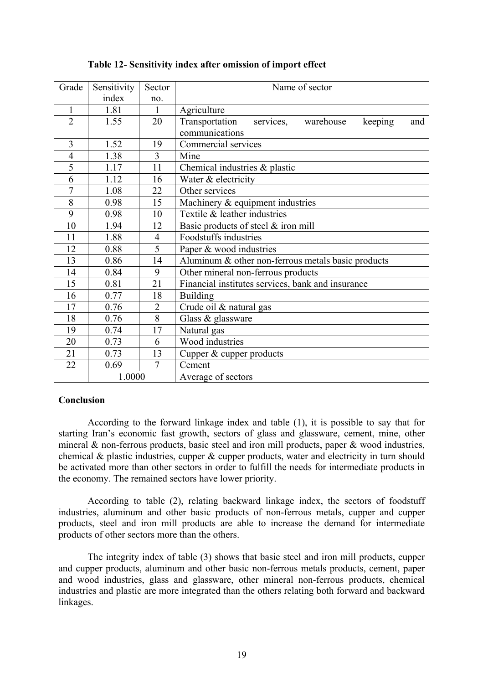| Grade          | Sensitivity | Sector         | Name of sector                                             |  |
|----------------|-------------|----------------|------------------------------------------------------------|--|
|                | index       | no.            |                                                            |  |
| $\mathbf{1}$   | 1.81        | $\mathbf{1}$   | Agriculture                                                |  |
| $\overline{2}$ | 1.55        | 20             | services,<br>Transportation<br>warehouse<br>keeping<br>and |  |
|                |             |                | communications                                             |  |
| $\overline{3}$ | 1.52        | 19             | Commercial services                                        |  |
| $\overline{4}$ | 1.38        | $\overline{3}$ | Mine                                                       |  |
| 5              | 1.17        | 11             | Chemical industries & plastic                              |  |
| 6              | 1.12        | 16             | Water & electricity                                        |  |
| $\overline{7}$ | 1.08        | 22             | Other services                                             |  |
| 8              | 0.98        | 15             | Machinery $&$ equipment industries                         |  |
| 9              | 0.98        | 10             | Textile & leather industries                               |  |
| 10             | 1.94        | 12             | Basic products of steel & iron mill                        |  |
| 11             | 1.88        | $\overline{4}$ | Foodstuffs industries                                      |  |
| 12             | 0.88        | 5              | Paper & wood industries                                    |  |
| 13             | 0.86        | 14             | Aluminum $\&$ other non-ferrous metals basic products      |  |
| 14             | 0.84        | 9              | Other mineral non-ferrous products                         |  |
| 15             | 0.81        | 21             | Financial institutes services, bank and insurance          |  |
| 16             | 0.77        | 18             | <b>Building</b>                                            |  |
| 17             | 0.76        | $\overline{2}$ | Crude oil & natural gas                                    |  |
| 18             | 0.76        | 8              | Glass & glassware                                          |  |
| 19             | 0.74        | 17             | Natural gas                                                |  |
| 20             | 0.73        | 6              | Wood industries                                            |  |
| 21             | 0.73        | 13             | Cupper & cupper products                                   |  |
| 22             | 0.69        | $\overline{7}$ | Cement                                                     |  |
|                | 1.0000      |                | Average of sectors                                         |  |

## **Table 12- Sensitivity index after omission of import effect**

## **Conclusion**

According to the forward linkage index and table (1), it is possible to say that for starting Iran's economic fast growth, sectors of glass and glassware, cement, mine, other mineral  $\&$  non-ferrous products, basic steel and iron mill products, paper  $\&$  wood industries, chemical & plastic industries, cupper & cupper products, water and electricity in turn should be activated more than other sectors in order to fulfill the needs for intermediate products in the economy. The remained sectors have lower priority.

According to table (2), relating backward linkage index, the sectors of foodstuff industries, aluminum and other basic products of non-ferrous metals, cupper and cupper products, steel and iron mill products are able to increase the demand for intermediate products of other sectors more than the others.

The integrity index of table (3) shows that basic steel and iron mill products, cupper and cupper products, aluminum and other basic non-ferrous metals products, cement, paper and wood industries, glass and glassware, other mineral non-ferrous products, chemical industries and plastic are more integrated than the others relating both forward and backward linkages.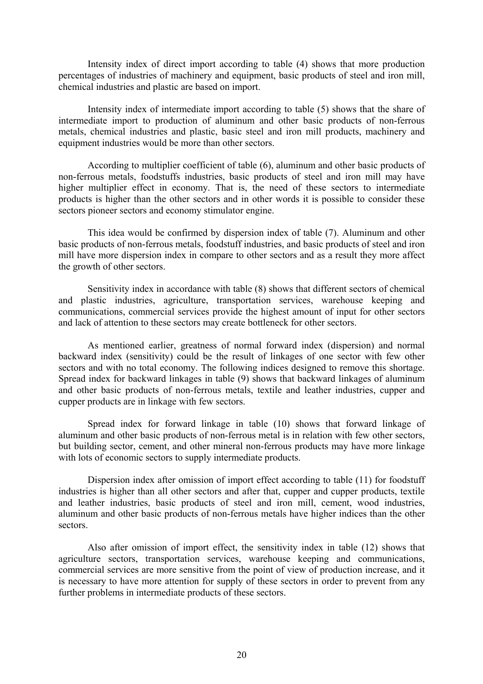Intensity index of direct import according to table (4) shows that more production percentages of industries of machinery and equipment, basic products of steel and iron mill, chemical industries and plastic are based on import.

Intensity index of intermediate import according to table (5) shows that the share of intermediate import to production of aluminum and other basic products of non-ferrous metals, chemical industries and plastic, basic steel and iron mill products, machinery and equipment industries would be more than other sectors.

According to multiplier coefficient of table (6), aluminum and other basic products of non-ferrous metals, foodstuffs industries, basic products of steel and iron mill may have higher multiplier effect in economy. That is, the need of these sectors to intermediate products is higher than the other sectors and in other words it is possible to consider these sectors pioneer sectors and economy stimulator engine.

This idea would be confirmed by dispersion index of table (7). Aluminum and other basic products of non-ferrous metals, foodstuff industries, and basic products of steel and iron mill have more dispersion index in compare to other sectors and as a result they more affect the growth of other sectors.

Sensitivity index in accordance with table (8) shows that different sectors of chemical and plastic industries, agriculture, transportation services, warehouse keeping and communications, commercial services provide the highest amount of input for other sectors and lack of attention to these sectors may create bottleneck for other sectors.

As mentioned earlier, greatness of normal forward index (dispersion) and normal backward index (sensitivity) could be the result of linkages of one sector with few other sectors and with no total economy. The following indices designed to remove this shortage. Spread index for backward linkages in table (9) shows that backward linkages of aluminum and other basic products of non-ferrous metals, textile and leather industries, cupper and cupper products are in linkage with few sectors.

Spread index for forward linkage in table (10) shows that forward linkage of aluminum and other basic products of non-ferrous metal is in relation with few other sectors, but building sector, cement, and other mineral non-ferrous products may have more linkage with lots of economic sectors to supply intermediate products.

Dispersion index after omission of import effect according to table (11) for foodstuff industries is higher than all other sectors and after that, cupper and cupper products, textile and leather industries, basic products of steel and iron mill, cement, wood industries, aluminum and other basic products of non-ferrous metals have higher indices than the other sectors.

Also after omission of import effect, the sensitivity index in table (12) shows that agriculture sectors, transportation services, warehouse keeping and communications, commercial services are more sensitive from the point of view of production increase, and it is necessary to have more attention for supply of these sectors in order to prevent from any further problems in intermediate products of these sectors.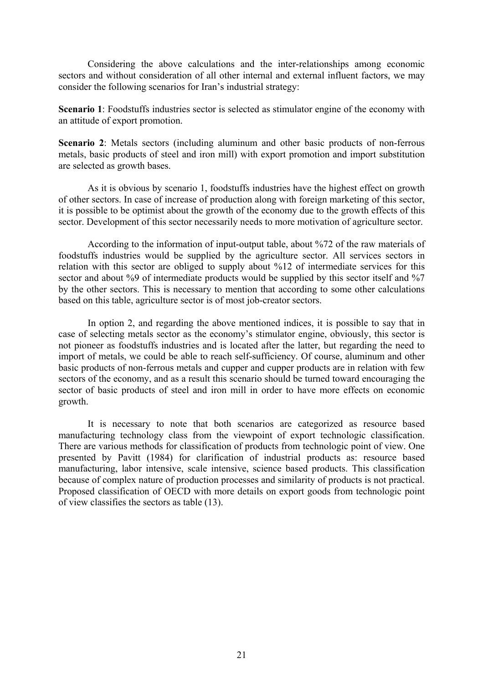Considering the above calculations and the inter-relationships among economic sectors and without consideration of all other internal and external influent factors, we may consider the following scenarios for Iran's industrial strategy:

**Scenario 1**: Foodstuffs industries sector is selected as stimulator engine of the economy with an attitude of export promotion.

**Scenario 2**: Metals sectors (including aluminum and other basic products of non-ferrous metals, basic products of steel and iron mill) with export promotion and import substitution are selected as growth bases.

As it is obvious by scenario 1, foodstuffs industries have the highest effect on growth of other sectors. In case of increase of production along with foreign marketing of this sector, it is possible to be optimist about the growth of the economy due to the growth effects of this sector. Development of this sector necessarily needs to more motivation of agriculture sector.

According to the information of input-output table, about %72 of the raw materials of foodstuffs industries would be supplied by the agriculture sector. All services sectors in relation with this sector are obliged to supply about %12 of intermediate services for this sector and about %9 of intermediate products would be supplied by this sector itself and %7 by the other sectors. This is necessary to mention that according to some other calculations based on this table, agriculture sector is of most job-creator sectors.

In option 2, and regarding the above mentioned indices, it is possible to say that in case of selecting metals sector as the economy's stimulator engine, obviously, this sector is not pioneer as foodstuffs industries and is located after the latter, but regarding the need to import of metals, we could be able to reach self-sufficiency. Of course, aluminum and other basic products of non-ferrous metals and cupper and cupper products are in relation with few sectors of the economy, and as a result this scenario should be turned toward encouraging the sector of basic products of steel and iron mill in order to have more effects on economic growth.

It is necessary to note that both scenarios are categorized as resource based manufacturing technology class from the viewpoint of export technologic classification. There are various methods for classification of products from technologic point of view. One presented by Pavitt (1984) for clarification of industrial products as: resource based manufacturing, labor intensive, scale intensive, science based products. This classification because of complex nature of production processes and similarity of products is not practical. Proposed classification of OECD with more details on export goods from technologic point of view classifies the sectors as table (13).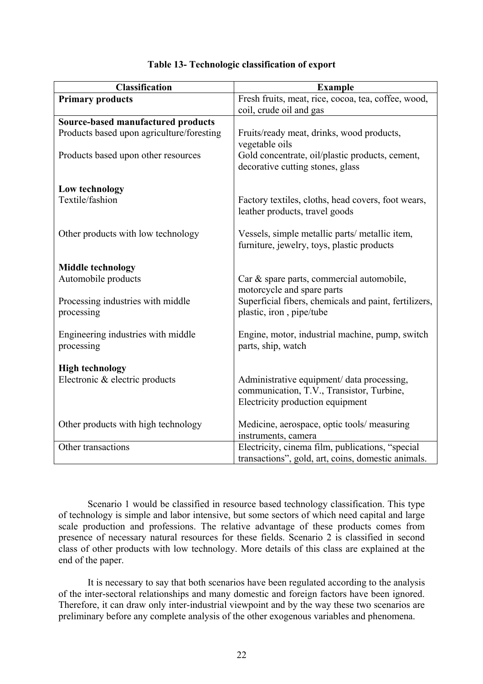| <b>Classification</b>                            | <b>Example</b>                                                                                                              |
|--------------------------------------------------|-----------------------------------------------------------------------------------------------------------------------------|
| <b>Primary products</b>                          | Fresh fruits, meat, rice, cocoa, tea, coffee, wood,                                                                         |
|                                                  | coil, crude oil and gas                                                                                                     |
| Source-based manufactured products               |                                                                                                                             |
| Products based upon agriculture/foresting        | Fruits/ready meat, drinks, wood products,<br>vegetable oils                                                                 |
| Products based upon other resources              | Gold concentrate, oil/plastic products, cement,<br>decorative cutting stones, glass                                         |
| Low technology                                   |                                                                                                                             |
| Textile/fashion                                  | Factory textiles, cloths, head covers, foot wears,<br>leather products, travel goods                                        |
| Other products with low technology               | Vessels, simple metallic parts/ metallic item,<br>furniture, jewelry, toys, plastic products                                |
| <b>Middle technology</b>                         |                                                                                                                             |
| Automobile products                              | Car & spare parts, commercial automobile,<br>motorcycle and spare parts                                                     |
| Processing industries with middle<br>processing  | Superficial fibers, chemicals and paint, fertilizers,<br>plastic, iron, pipe/tube                                           |
| Engineering industries with middle<br>processing | Engine, motor, industrial machine, pump, switch<br>parts, ship, watch                                                       |
| <b>High technology</b>                           |                                                                                                                             |
| Electronic & electric products                   | Administrative equipment/ data processing,<br>communication, T.V., Transistor, Turbine,<br>Electricity production equipment |
| Other products with high technology              | Medicine, aerospace, optic tools/measuring<br>instruments, camera                                                           |
| Other transactions                               | Electricity, cinema film, publications, "special<br>transactions", gold, art, coins, domestic animals.                      |

## **Table 13- Technologic classification of export**

Scenario 1 would be classified in resource based technology classification. This type of technology is simple and labor intensive, but some sectors of which need capital and large scale production and professions. The relative advantage of these products comes from presence of necessary natural resources for these fields. Scenario 2 is classified in second class of other products with low technology. More details of this class are explained at the end of the paper.

It is necessary to say that both scenarios have been regulated according to the analysis of the inter-sectoral relationships and many domestic and foreign factors have been ignored. Therefore, it can draw only inter-industrial viewpoint and by the way these two scenarios are preliminary before any complete analysis of the other exogenous variables and phenomena.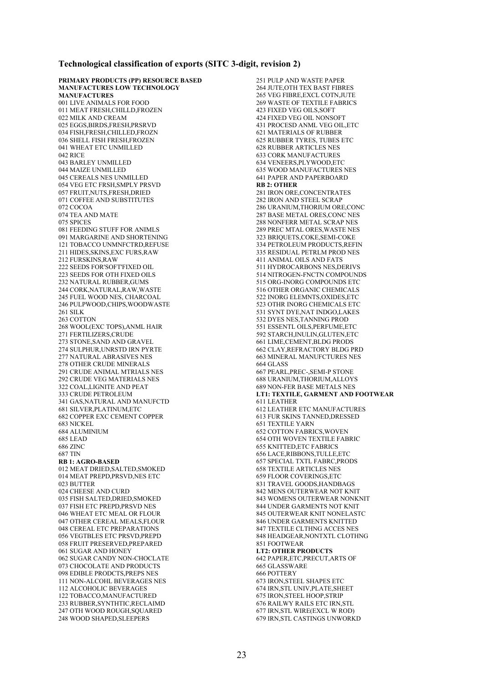#### **Technological classification of exports (SITC 3-digit, revision 2)**

**PRIMARY PRODUCTS (PP) RESOURCE BASED MANUFACTURES LOW TECHNOLOGY MANUFACTURES**  001 LIVE ANIMALS FOR FOOD 011 MEAT FRESH,CHILLD,FROZEN 022 MILK AND CREAM 025 EGGS,BIRDS,FRESH,PRSRVD 034 FISH,FRESH,CHILLED,FROZN 036 SHELL FISH FRESH,FROZEN 041 WHEAT ETC UNMILLED 042 RICE 043 BARLEY UNMILLED 044 MAIZE UNMILLED 045 CEREALS NES UNMILLED 054 VEG ETC FRSH,SMPLY PRSVD 057 FRUIT,NUTS,FRESH,DRIED 071 COFFEE AND SUBSTITUTES 072 COCOA 074 TEA AND MATE 075 SPICES 081 FEEDING STUFF FOR ANIMLS 091 MARGARINE AND SHORTENING 121 TOBACCO UNMNFCTRD,REFUSE 211 HIDES,SKINS,EXC FURS,RAW 212 FURSKINS,RAW 222 SEEDS FOR'SOFT'FIXED OIL 223 SEEDS FOR OTH FIXED OILS 232 NATURAL RUBBER,GUMS 244 CORK,NATURAL,RAW,WASTE 245 FUEL WOOD NES, CHARCOAL 246 PULPWOOD,CHIPS,WOODWASTE 261 SILK 263 COTTON 268 WOOL(EXC TOPS),ANML HAIR 271 FERTILIZERS,CRUDE 273 STONE,SAND AND GRAVEL 274 SULPHUR,UNRSTD IRN PYRTE 277 NATURAL ABRASIVES NES 278 OTHER CRUDE MINERALS 291 CRUDE ANIMAL MTRIALS NES 292 CRUDE VEG MATERIALS NES 322 COAL,LIGNITE AND PEAT 333 CRUDE PETROLEUM 341 GAS,NATURAL AND MANUFCTD 681 SILVER PLATINUM ETC 682 COPPER EXC CEMENT COPPER 683 NICKEL 684 ALUMINIUM 685 LEAD 686 ZINC 687 TIN **RB 1: AGRO-BASED**  012 MEAT DRIED,SALTED,SMOKED 014 MEAT PREPD,PRSVD,NES ETC 023 BUTTER 024 CHEESE AND CURD 035 FISH SALTED,DRIED,SMOKED 037 FISH ETC PREPD,PRSVD NES 046 WHEAT ETC MEAL OR FLOUR 047 OTHER CEREAL MEALS,FLOUR 048 CEREAL ETC PREPARATIONS 056 VEGTBLES ETC PRSVD,PREPD 058 FRUIT PRESERVED,PREPARED 061 SUGAR AND HONEY 062 SUGAR CANDY NON-CHOCLATE 073 CHOCOLATE AND PRODUCTS 098 EDIBLE PRODCTS,PREPS NES 111 NON-ALCOHL BEVERAGES NES 112 ALCOHOLIC BEVERAGES 122 TOBACCO,MANUFACTURED 233 RUBBER,SYNTHTIC,RECLAIMD 247 OTH WOOD ROUGH,SQUARED 248 WOOD SHAPED,SLEEPERS

251 PULP AND WASTE PAPER 264 JUTE,OTH TEX BAST FIBRES 265 VEG FIBRE,EXCL COTN,JUTE 269 WASTE OF TEXTILE FABRICS 423 FIXED VEG OILS,SOFT 424 FIXED VEG OIL NONSOFT 431 PROCESD ANML VEG OIL,ETC 621 MATERIALS OF RUBBER 625 RUBBER TYRES, TUBES ETC 628 RUBBER ARTICLES NES 633 CORK MANUFACTURES 634 VENEERS,PLYWOOD,ETC 635 WOOD MANUFACTURES NES 641 PAPER AND PAPERBOARD **RB 2: OTHER**  281 IRON ORE,CONCENTRATES 282 IRON AND STEEL SCRAP 286 URANIUM,THORIUM ORE,CONC 287 BASE METAL ORES,CONC NES 288 NONFERR METAL SCRAP NES 289 PREC MTAL ORES,WASTE NES 323 BRIQUETS,COKE,SEMI-COKE 334 PETROLEUM PRODUCTS,REFIN 335 RESIDUAL PETRLM PROD NES 411 ANIMAL OILS AND FATS 511 HYDROCARBONS NES,DERIVS 514 NITROGEN-FNCTN COMPOUNDS 515 ORG-INORG COMPOUNDS ETC 516 OTHER ORGANIC CHEMICALS 522 INORG ELEMNTS,OXIDES,ETC 523 OTHR INORG CHEMICALS ETC 531 SYNT DYE,NAT INDGO,LAKES 532 DYES NES,TANNING PROD 551 ESSENTL OILS PERFUME ETC 592 STARCH,INULIN,GLUTEN,ETC 661 LIME,CEMENT,BLDG PRODS 662 CLAY,REFRACTORY BLDG PRD 663 MINERAL MANUFCTURES NES 664 GLASS 667 PEARL,PREC-,SEMI-P STONE 688 URANIUM,THORIUM,ALLOYS 689 NON-FER BASE METALS NES **LT1: TEXTILE, GARMENT AND FOOTWEAR**  611 LEATHER 612 LEATHER ETC MANUFACTURES 613 FUR SKINS TANNED,DRESSED 651 TEXTILE YARN 652 COTTON FABRICS,WOVEN 654 OTH WOVEN TEXTILE FABRIC 655 KNITTED,ETC FABRICS 656 LACE,RIBBONS,TULLE,ETC 657 SPECIAL TXTL FABRC,PRODS 658 TEXTILE ARTICLES NES 659 FLOOR COVERINGS,ETC 831 TRAVEL GOODS,HANDBAGS 842 MENS OUTERWEAR NOT KNIT 843 WOMENS OUTERWEAR NONKNIT 844 UNDER GARMENTS NOT KNIT 845 OUTERWEAR KNIT NONELASTC 846 UNDER GARMENTS KNITTED 847 TEXTILE CLTHNG ACCES NES 848 HEADGEAR,NONTXTL CLOTHNG 851 FOOTWEAR **LT2: OTHER PRODUCTS**  642 PAPER,ETC,PRECUT,ARTS OF 665 GLASSWARE 666 POTTERY 673 IRON,STEEL SHAPES ETC 674 IRN,STL UNIV,PLATE,SHEET 675 IRON,STEEL HOOP,STRIP 676 RAILWY RAILS ETC IRN,STL 677 IRN,STL WIRE(EXCL W ROD) 679 IRN,STL CASTINGS UNWORKD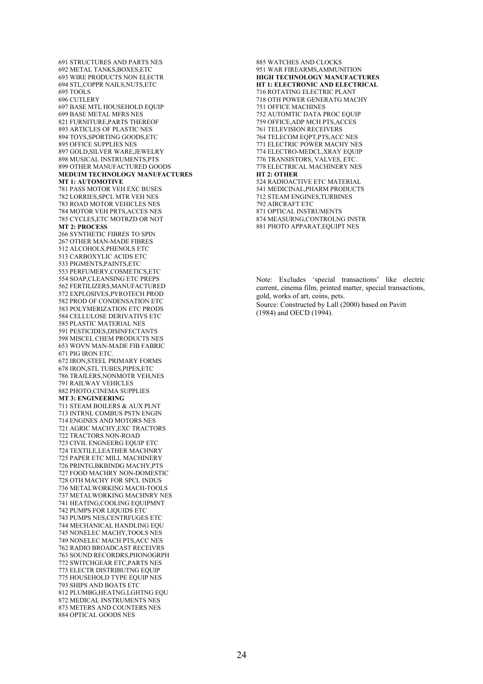691 STRUCTURES AND PARTS NES 692 METAL TANKS,BOXES,ETC 693 WIRE PRODUCTS NON ELECTR 694 STL,COPPR NAILS,NUTS,ETC 695 TOOLS 696 CUTLERY 697 BASE MTL HOUSEHOLD EQUIP 699 BASE METAL MFRS NES 821 FURNITURE,PARTS THEREOF 893 ARTICLES OF PLASTIC NES 894 TOYS,SPORTING GOODS,ETC 895 OFFICE SUPPLIES NES 897 GOLD,SILVER WARE,JEWELRY 898 MUSICAL INSTRUMENTS,PTS 899 OTHER MANUFACTURED GOODS **MEDUIM TECHNOLOGY MANUFACTURES MT 1: AUTOMOTIVE**  781 PASS MOTOR VEH EXC BUSES 782 LORRIES,SPCL MTR VEH NES 783 ROAD MOTOR VEHICLES NES 784 MOTOR VEH PRTS,ACCES NES 785 CYCLES,ETC MOTRZD OR NOT **MT 2: PROCESS**  266 SYNTHETIC FIBRES TO SPIN 267 OTHER MAN-MADE FIBRES 512 ALCOHOLS,PHENOLS ETC 513 CARBOXYLIC ACIDS ETC 533 PIGMENTS,PAINTS,ETC 553 PERFUMERY,COSMETICS,ETC 554 SOAP,CLEANSING ETC PREPS 562 FERTILIZERS,MANUFACTURED 572 EXPLOSIVES,PYROTECH PROD 582 PROD OF CONDENSATION ETC 583 POLYMERIZATION ETC PRODS 584 CELLULOSE DERIVATIVS ETC 585 PLASTIC MATERIAL NES 591 PESTICIDES,DISINFECTANTS 598 MISCEL CHEM PRODUCTS NES 653 WOVN MAN-MADE FIB FABRIC 671 PIG IRON ETC. 672 IRON,STEEL PRIMARY FORMS 678 IRON,STL TUBES,PIPES,ETC 786 TRAILERS,NONMOTR VEH,NES 791 RAILWAY VEHICLES 882 PHOTO,CINEMA SUPPLIES **MT 3: ENGINEERING**  711 STEAM BOILERS & AUX PLNT 713 INTRNL COMBUS PSTN ENGIN 714 ENGINES AND MOTORS NES 721 AGRIC MACHY,EXC TRACTORS 722 TRACTORS NON-ROAD 723 CIVIL ENGNEERG EQUIP ETC 724 TEXTILE,LEATHER MACHNRY 725 PAPER ETC MILL MACHINERY 726 PRINTG,BKBINDG MACHY,PTS 727 FOOD MACHRY NON-DOMESTIC 728 OTH MACHY FOR SPCL INDUS 736 METALWORKING MACH-TOOLS 737 METALWORKING MACHNRY NES 741 HEATING,COOLING EQUIPMNT 742 PUMPS FOR LIQUIDS ETC 743 PUMPS NES,CENTRFUGES ETC 744 MECHANICAL HANDLING EQU 745 NONELEC MACHY,TOOLS NES 749 NONELEC MACH PTS,ACC NES 762 RADIO BROADCAST RECEIVRS 763 SOUND RECORDRS,PHONOGRPH 772 SWITCHGEAR ETC,PARTS NES 773 ELECTR DISTRIBUTNG EQUIP 775 HOUSEHOLD TYPE EQUIP NES 793 SHIPS AND BOATS ETC 812 PLUMBG,HEATNG,LGHTNG EQU 872 MEDICAL INSTRUMENTS NES 873 METERS AND COUNTERS NES 884 OPTICAL GOODS NES

885 WATCHES AND CLOCKS 951 WAR FIREARMS,AMMUNITION **HIGH TECHNOLOGY MANUFACTURES HT 1: ELECTRONIC AND ELECTRICAL**  716 ROTATING ELECTRIC PLANT 718 OTH POWER GENERATG MACHY 751 OFFICE MACHINES 752 AUTOMTIC DATA PROC EQUIP 759 OFFICE,ADP MCH PTS,ACCES 761 TELEVISION RECEIVERS 764 TELECOM EQPT,PTS,ACC NES 771 ELECTRIC POWER MACHY NES 774 ELECTRO-MEDCL,XRAY EQUIP 776 TRANSISTORS, VALVES, ETC. 778 ELECTRICAL MACHINERY NES **HT 2: OTHER**  524 RADIOACTIVE ETC MATERIAL 541 MEDICINAL,PHARM PRODUCTS 712 STEAM ENGINES,TURBINES 792 AIRCRAFT ETC 871 OPTICAL INSTRUMENTS 874 MEASURNG,CONTROLNG INSTR 881 PHOTO APPARAT,EQUIPT NES

Note: Excludes 'special transactions' like electric current, cinema film, printed matter, special transactions, gold, works of art, coins, pets. Source: Constructed by Lall (2000) based on Pavitt (1984) and OECD (1994).